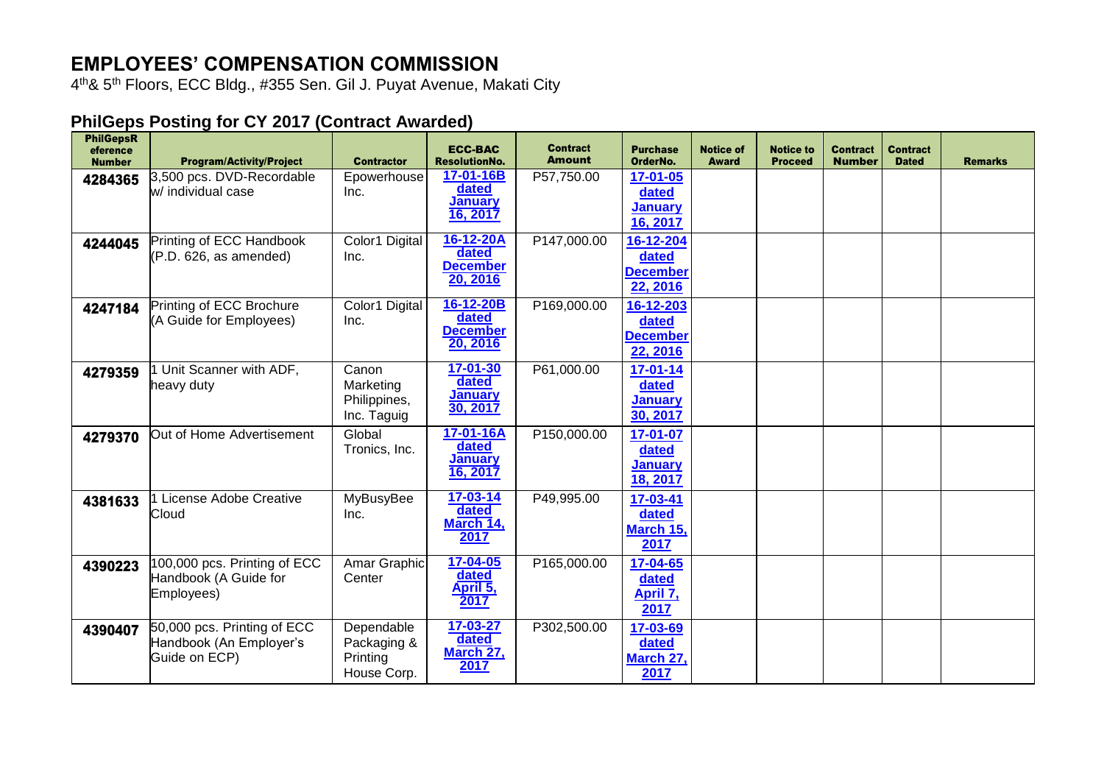## **EMPLOYEES' COMPENSATION COMMISSION**

4 th& 5th Floors, ECC Bldg., #355 Sen. Gil J. Puyat Avenue, Makati City

## **PhilGeps Posting for CY 2017 (Contract Awarded)**

| <b>PhilGepsR</b><br>eference<br><b>Number</b> | <b>Program/Activity/Project</b>                                         | <b>Contractor</b>                                    | <b>ECC-BAC</b><br><b>ResolutionNo.</b>                | <b>Contract</b><br><b>Amount</b> | <b>Purchase</b><br>OrderNo.                       | <b>Notice of</b><br><b>Award</b> | <b>Notice to</b><br><b>Proceed</b> | <b>Contract</b><br><b>Number</b> | <b>Contract</b><br><b>Dated</b> | <b>Remarks</b> |
|-----------------------------------------------|-------------------------------------------------------------------------|------------------------------------------------------|-------------------------------------------------------|----------------------------------|---------------------------------------------------|----------------------------------|------------------------------------|----------------------------------|---------------------------------|----------------|
| 4284365                                       | 3,500 pcs. DVD-Recordable<br>w/ individual case                         | Epowerhouse<br>Inc.                                  | 17-01-16B<br>dated<br><b>January</b><br>16, 2017      | P57,750.00                       | 17-01-05<br>dated<br><b>January</b><br>16, 2017   |                                  |                                    |                                  |                                 |                |
| 4244045                                       | Printing of ECC Handbook<br>(P.D. 626, as amended)                      | Color1 Digital<br>Inc.                               | 16-12-20A<br>dated<br><b>December</b><br>20, 2016     | P147,000.00                      | 16-12-204<br>dated<br><b>December</b><br>22, 2016 |                                  |                                    |                                  |                                 |                |
| 4247184                                       | Printing of ECC Brochure<br>(A Guide for Employees)                     | Color1 Digital<br>Inc.                               | 16-12-20B<br>dated<br><b>December</b><br>20, 2016     | P169,000.00                      | 16-12-203<br>dated<br><b>December</b><br>22, 2016 |                                  |                                    |                                  |                                 |                |
| 4279359                                       | Unit Scanner with ADF,<br>heavy duty                                    | Canon<br>Marketing<br>Philippines,<br>Inc. Taguig    | $17 - 01 - 30$<br>dated<br><b>January</b><br>30, 2017 | P61,000.00                       | 17-01-14<br>dated<br><b>January</b><br>30, 2017   |                                  |                                    |                                  |                                 |                |
| 4279370                                       | Out of Home Advertisement                                               | Global<br>Tronics, Inc.                              | 17-01-16A<br>dated<br><b>January</b><br>16, 2017      | P150,000.00                      | 17-01-07<br>dated<br><b>January</b><br>18, 2017   |                                  |                                    |                                  |                                 |                |
| 4381633                                       | 1 License Adobe Creative<br>Cloud                                       | <b>MyBusyBee</b><br>Inc.                             | $17 - 03 - 14$<br>dated<br>March 14,<br>2017          | P49,995.00                       | 17-03-41<br>dated<br>March 15,<br>2017            |                                  |                                    |                                  |                                 |                |
| 4390223                                       | 100,000 pcs. Printing of ECC<br>Handbook (A Guide for<br>Employees)     | Amar Graphic<br>Center                               | $17 - 04 - 05$<br>dated<br>April 5,<br>2017           | P165,000.00                      | 17-04-65<br>dated<br>April 7,<br>2017             |                                  |                                    |                                  |                                 |                |
| 4390407                                       | 50,000 pcs. Printing of ECC<br>Handbook (An Employer's<br>Guide on ECP) | Dependable<br>Packaging &<br>Printing<br>House Corp. | 17-03-27<br>dated<br>March 27,<br>2017                | P302,500.00                      | 17-03-69<br>dated<br>March 27,<br>2017            |                                  |                                    |                                  |                                 |                |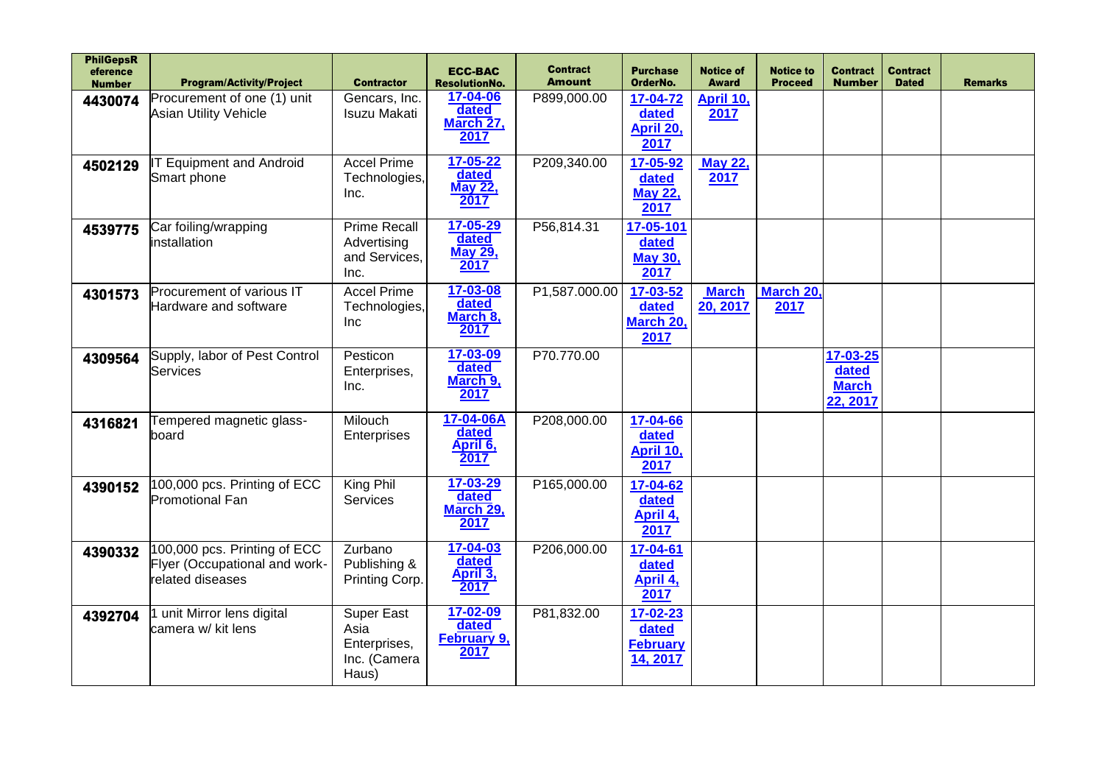| <b>PhilGepsR</b><br>eference<br><b>Number</b> | <b>Program/Activity/Project</b>                                                   | <b>Contractor</b>                                                  | <b>ECC-BAC</b><br><b>ResolutionNo.</b>            | <b>Contract</b><br><b>Amount</b> | <b>Purchase</b><br>OrderNo.                      | <b>Notice of</b><br><b>Award</b> | <b>Notice to</b><br><b>Proceed</b> | <b>Contract</b><br><b>Number</b>              | <b>Contract</b><br><b>Dated</b> | <b>Remarks</b> |
|-----------------------------------------------|-----------------------------------------------------------------------------------|--------------------------------------------------------------------|---------------------------------------------------|----------------------------------|--------------------------------------------------|----------------------------------|------------------------------------|-----------------------------------------------|---------------------------------|----------------|
| 4430074                                       | Procurement of one (1) unit<br>Asian Utility Vehicle                              | Gencars, Inc.<br><b>Isuzu Makati</b>                               | 17-04-06<br>dated<br>March 27,<br>2017            | P899,000.00                      | 17-04-72<br>dated<br>April 20,<br>2017           | April 10,<br>2017                |                                    |                                               |                                 |                |
| 4502129                                       | <b>T Equipment and Android</b><br>Smart phone                                     | <b>Accel Prime</b><br>Technologies,<br>Inc.                        | $17 - 05 - 22$<br>dated<br><b>May 22,</b><br>2017 | P209,340.00                      | 17-05-92<br>dated<br><b>May 22,</b><br>2017      | <b>May 22,</b><br>2017           |                                    |                                               |                                 |                |
| 4539775                                       | Car foiling/wrapping<br>installation                                              | <b>Prime Recall</b><br>Advertising<br>and Services,<br>Inc.        | 17-05-29<br>dated<br><b>May 29,</b><br>2017       | P56,814.31                       | 17-05-101<br>dated<br><b>May 30,</b><br>2017     |                                  |                                    |                                               |                                 |                |
| 4301573                                       | Procurement of various IT<br>Hardware and software                                | <b>Accel Prime</b><br>Technologies,<br>Inc                         | 17-03-08<br>dated<br>March 8,<br>2017             | P1,587.000.00                    | 17-03-52<br>dated<br>March 20,<br>2017           | <b>March</b><br>20, 2017         | March 20,<br>2017                  |                                               |                                 |                |
| 4309564                                       | Supply, labor of Pest Control<br>Services                                         | Pesticon<br>Enterprises,<br>Inc.                                   | 17-03-09<br>dated<br>March 9,<br>2017             | P70.770.00                       |                                                  |                                  |                                    | 17-03-25<br>dated<br><b>March</b><br>22, 2017 |                                 |                |
| 4316821                                       | Tempered magnetic glass-<br>board                                                 | Milouch<br>Enterprises                                             | 17-04-06A<br>dated<br>April 6,<br>2017            | P208,000.00                      | 17-04-66<br>dated<br>April 10,<br>2017           |                                  |                                    |                                               |                                 |                |
| 4390152                                       | 100,000 pcs. Printing of ECC<br><b>Promotional Fan</b>                            | King Phil<br>Services                                              | 17-03-29<br>dated<br>March 29,<br>2017            | P165,000.00                      | 17-04-62<br>dated<br>April 4,<br>2017            |                                  |                                    |                                               |                                 |                |
| 4390332                                       | 100,000 pcs. Printing of ECC<br>Flyer (Occupational and work-<br>related diseases | Zurbano<br>Publishing &<br>Printing Corp.                          | 17-04-03<br>dated<br>April 3,<br>2017             | P206,000.00                      | 17-04-61<br>dated<br>April 4,<br>2017            |                                  |                                    |                                               |                                 |                |
| 4392704                                       | unit Mirror lens digital<br>camera w/ kit lens                                    | <b>Super East</b><br>Asia<br>Enterprises,<br>Inc. (Camera<br>Haus) | 17-02-09<br>dated<br><b>February 9,</b><br>2017   | P81,832.00                       | 17-02-23<br>dated<br><b>February</b><br>14, 2017 |                                  |                                    |                                               |                                 |                |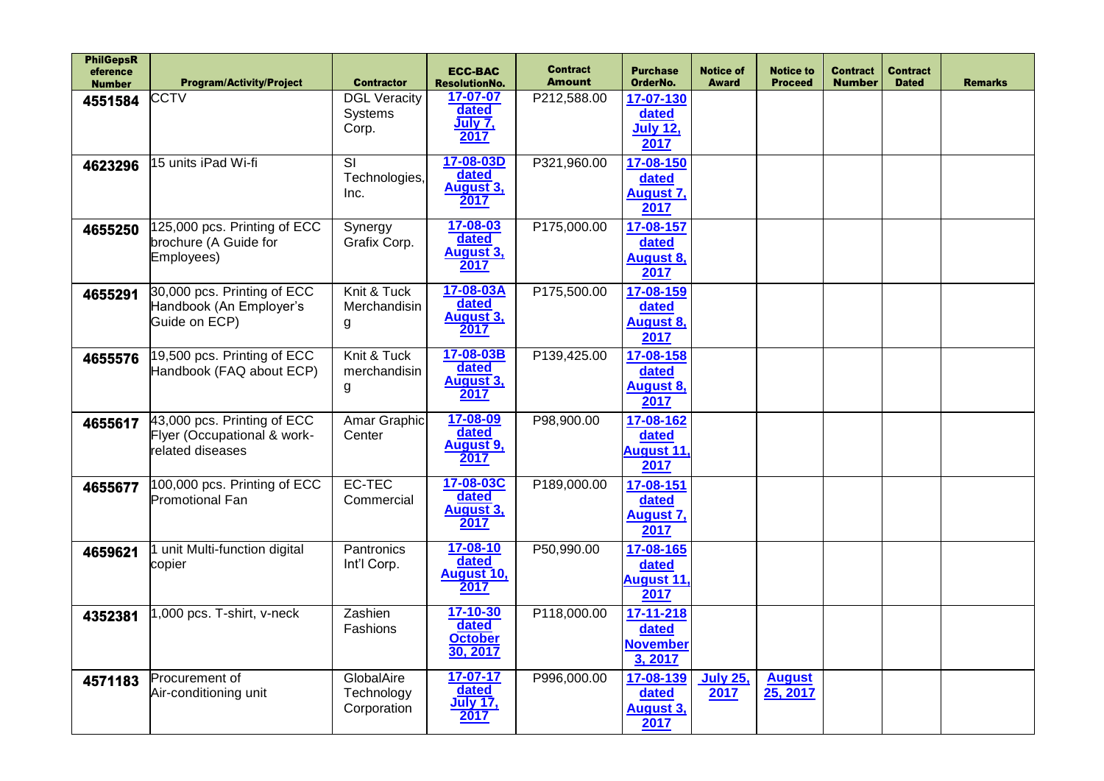| <b>PhilGepsR</b><br>eference<br><b>Number</b> | <b>Program/Activity/Project</b>                                                  | <b>Contractor</b>                                | <b>ECC-BAC</b><br><b>ResolutionNo.</b>          | <b>Contract</b><br><b>Amount</b> | <b>Purchase</b><br>OrderNo.                      | <b>Notice of</b><br><b>Award</b> | <b>Notice to</b><br><b>Proceed</b> | <b>Contract</b><br><b>Number</b> | <b>Contract</b><br><b>Dated</b> | <b>Remarks</b> |
|-----------------------------------------------|----------------------------------------------------------------------------------|--------------------------------------------------|-------------------------------------------------|----------------------------------|--------------------------------------------------|----------------------------------|------------------------------------|----------------------------------|---------------------------------|----------------|
| 4551584                                       | CCTV                                                                             | <b>DGL Veracity</b><br>Systems<br>Corp.          | 17-07-07<br>dated<br>July 7,<br>2017            | P212,588.00                      | 17-07-130<br>dated<br><b>July 12,</b><br>2017    |                                  |                                    |                                  |                                 |                |
| 4623296                                       | 15 units iPad Wi-fi                                                              | $\overline{\mathsf{S}}$<br>Technologies,<br>Inc. | 17-08-03D<br>dated<br>August 3,<br>2017         | P321,960.00                      | 17-08-150<br>dated<br><b>August 7,</b><br>2017   |                                  |                                    |                                  |                                 |                |
| 4655250                                       | 125,000 pcs. Printing of ECC<br>brochure (A Guide for<br>Employees)              | Synergy<br>Grafix Corp.                          | 17-08-03<br>dated<br><b>August 3,</b><br>2017   | P175,000.00                      | 17-08-157<br>dated<br>August 8,<br>2017          |                                  |                                    |                                  |                                 |                |
| 4655291                                       | 30,000 pcs. Printing of ECC<br>Handbook (An Employer's<br>Guide on ECP)          | Knit & Tuck<br>Merchandisin<br>g                 | 17-08-03A<br>dated<br><b>August 3,</b><br>2017  | P175,500.00                      | 17-08-159<br>dated<br><b>August 8,</b><br>2017   |                                  |                                    |                                  |                                 |                |
| 4655576                                       | 19,500 pcs. Printing of ECC<br>Handbook (FAQ about ECP)                          | Knit & Tuck<br>merchandisin<br>g                 | 17-08-03B<br>dated<br><b>August 3,</b><br>2017  | P139,425.00                      | 17-08-158<br>dated<br><b>August 8,</b><br>2017   |                                  |                                    |                                  |                                 |                |
| 4655617                                       | $43,000$ pcs. Printing of ECC<br>Flyer (Occupational & work-<br>related diseases | Amar Graphic<br>Center                           | 17-08-09<br>dated<br><b>August 9,</b><br>2017   | P98,900.00                       | 17-08-162<br>dated<br>August 11,<br>2017         |                                  |                                    |                                  |                                 |                |
| 4655677                                       | 100,000 pcs. Printing of ECC<br><b>Promotional Fan</b>                           | EC-TEC<br>Commercial                             | 17-08-03C<br>dated<br><b>August 3,</b><br>2017  | P189,000.00                      | 17-08-151<br>dated<br><b>August 7,</b><br>2017   |                                  |                                    |                                  |                                 |                |
| 4659621                                       | unit Multi-function digital<br>copier                                            | Pantronics<br>Int'l Corp.                        | 17-08-10<br>dated<br>August 10,<br>2017         | P50,990.00                       | 17-08-165<br>dated<br><b>August 11,</b><br>2017  |                                  |                                    |                                  |                                 |                |
| 4352381                                       | 1,000 pcs. T-shirt, v-neck                                                       | Zashien<br>Fashions                              | 17-10-30<br>dated<br><b>October</b><br>30, 2017 | P118,000.00                      | 17-11-218<br>dated<br><b>November</b><br>3, 2017 |                                  |                                    |                                  |                                 |                |
| 4571183                                       | Procurement of<br>Air-conditioning unit                                          | GlobalAire<br>Technology<br>Corporation          | 17-07-17<br>dated<br><b>July 17,</b><br>2017    | P996,000.00                      | 17-08-139<br>dated<br><b>August 3,</b><br>2017   | <b>July 25,</b><br>2017          | <b>August</b><br>25, 2017          |                                  |                                 |                |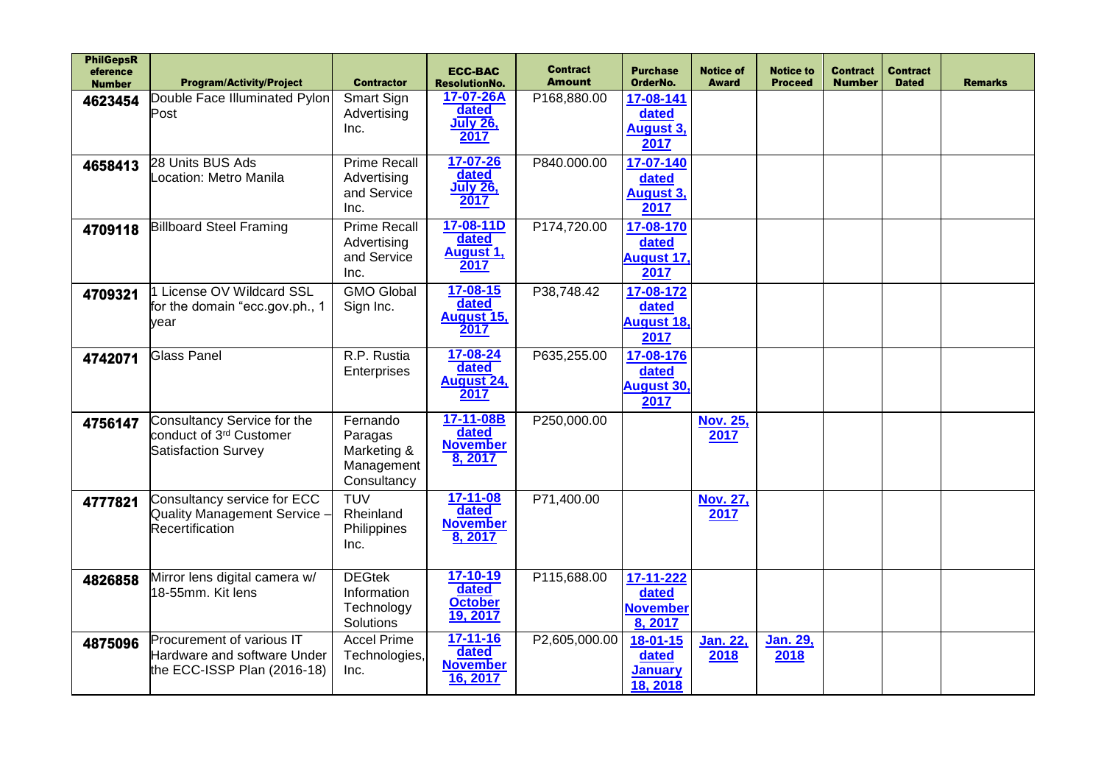| <b>PhilGepsR</b><br>eference<br><b>Number</b> | <b>Program/Activity/Project</b>                                                           | <b>Contractor</b>                                               | <b>ECC-BAC</b><br><b>ResolutionNo.</b>                 | <b>Contract</b><br><b>Amount</b> | <b>Purchase</b><br>OrderNo.                      | <b>Notice of</b><br><b>Award</b> | <b>Notice to</b><br><b>Proceed</b> | <b>Contract</b><br><b>Number</b> | <b>Contract</b><br><b>Dated</b> | <b>Remarks</b> |
|-----------------------------------------------|-------------------------------------------------------------------------------------------|-----------------------------------------------------------------|--------------------------------------------------------|----------------------------------|--------------------------------------------------|----------------------------------|------------------------------------|----------------------------------|---------------------------------|----------------|
| 4623454                                       | Double Face Illuminated Pylon<br>Post                                                     | Smart Sign<br>Advertising<br>Inc.                               | 17-07-26A<br>dated<br><b>July 26,</b><br>2017          | P168,880.00                      | 17-08-141<br>dated<br><b>August 3,</b><br>2017   |                                  |                                    |                                  |                                 |                |
| 4658413                                       | 28 Units BUS Ads<br>Location: Metro Manila                                                | <b>Prime Recall</b><br>Advertising<br>and Service<br>Inc.       | 17-07-26<br>dated<br><b>July 26,</b><br>2017           | P840.000.00                      | 17-07-140<br>dated<br><b>August 3,</b><br>2017   |                                  |                                    |                                  |                                 |                |
| 4709118                                       | <b>Billboard Steel Framing</b>                                                            | <b>Prime Recall</b><br>Advertising<br>and Service<br>Inc.       | 17-08-11D<br>dated<br><b>August 1,</b><br>2017         | P174,720.00                      | 17-08-170<br>dated<br><b>August 17,</b><br>2017  |                                  |                                    |                                  |                                 |                |
| 4709321                                       | 1 License OV Wildcard SSL<br>for the domain "ecc.gov.ph., 1<br>vear                       | <b>GMO Global</b><br>Sign Inc.                                  | $17 - 08 - 15$<br>dated<br><b>August 15,</b><br>2017   | P38,748.42                       | 17-08-172<br>dated<br><b>August 18.</b><br>2017  |                                  |                                    |                                  |                                 |                |
| 4742071                                       | <b>Glass Panel</b>                                                                        | R.P. Rustia<br>Enterprises                                      | 17-08-24<br>dated<br><b>August 24,</b><br>2017         | P635,255.00                      | 17-08-176<br>dated<br><b>August 30</b><br>2017   |                                  |                                    |                                  |                                 |                |
| 4756147                                       | Consultancy Service for the<br>conduct of 3 <sup>rd</sup> Customer<br>Satisfaction Survey | Fernando<br>Paragas<br>Marketing &<br>Management<br>Consultancy | 17-11-08B<br>dated<br><b>November</b><br>8, 2017       | P250,000.00                      |                                                  | <b>Nov. 25,</b><br>2017          |                                    |                                  |                                 |                |
| 4777821                                       | Consultancy service for ECC<br><b>Quality Management Service</b><br>Recertification       | <b>TUV</b><br>Rheinland<br>Philippines<br>Inc.                  | $17 - 11 - 08$<br>dated<br><b>November</b><br>8, 2017  | P71,400.00                       |                                                  | Nov. 27,<br>2017                 |                                    |                                  |                                 |                |
| 4826858                                       | Mirror lens digital camera w/<br>18-55mm. Kit lens                                        | <b>DEGtek</b><br>Information<br>Technology<br>Solutions         | $17 - 10 - 19$<br>dated<br><b>October</b><br>19, 2017  | P115,688.00                      | 17-11-222<br>dated<br><b>November</b><br>8, 2017 |                                  |                                    |                                  |                                 |                |
| 4875096                                       | Procurement of various IT<br>Hardware and software Under<br>the ECC-ISSP Plan (2016-18)   | <b>Accel Prime</b><br>Technologies,<br>Inc.                     | $17 - 11 - 16$<br>dated<br><b>November</b><br>16, 2017 | P2,605,000.00                    | 18-01-15<br>dated<br><b>January</b><br>18, 2018  | <u>Jan. 22,</u><br>2018          | Jan. 29,<br>2018                   |                                  |                                 |                |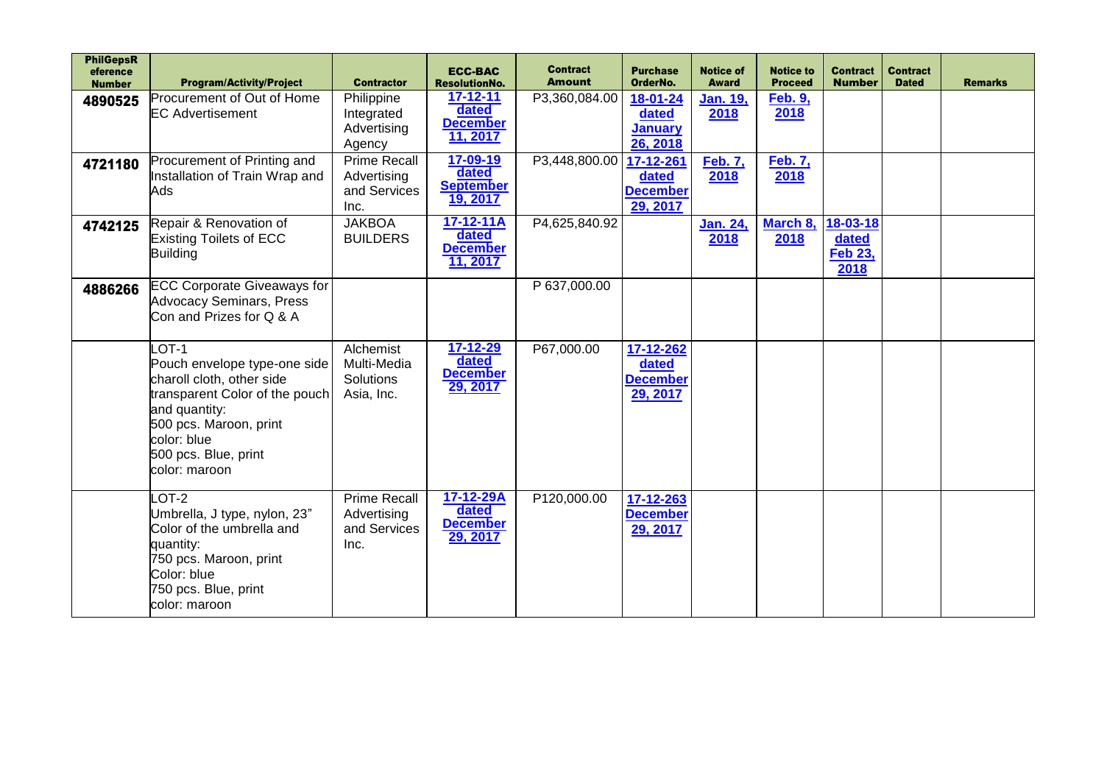| <b>PhilGepsR</b><br>eference<br><b>Number</b> | <b>Program/Activity/Project</b>                                                                                                                                                                           | <b>Contractor</b>                                          | <b>ECC-BAC</b><br><b>ResolutionNo.</b>                 | <b>Contract</b><br><b>Amount</b> | <b>Purchase</b><br>OrderNo.                       | <b>Notice of</b><br>Award | <b>Notice to</b><br><b>Proceed</b> | <b>Contract</b><br><b>Number</b>            | <b>Contract</b><br><b>Dated</b> | <b>Remarks</b> |
|-----------------------------------------------|-----------------------------------------------------------------------------------------------------------------------------------------------------------------------------------------------------------|------------------------------------------------------------|--------------------------------------------------------|----------------------------------|---------------------------------------------------|---------------------------|------------------------------------|---------------------------------------------|---------------------------------|----------------|
| 4890525                                       | Procurement of Out of Home<br><b>EC Advertisement</b>                                                                                                                                                     | Philippine<br>Integrated<br>Advertising<br>Agency          | $17 - 12 - 11$<br>dated<br><b>December</b><br>11, 2017 | P3,360,084.00                    | 18-01-24<br>dated<br><b>January</b><br>26, 2018   | <u>Jan. 19,</u><br>2018   | <b>Feb. 9,</b><br>2018             |                                             |                                 |                |
| 4721180                                       | Procurement of Printing and<br>Installation of Train Wrap and<br>Ads                                                                                                                                      | <b>Prime Recall</b><br>Advertising<br>and Services<br>Inc. | 17-09-19<br>dated<br><b>September</b><br>19, 2017      | P3,448,800.00 17-12-261          | dated<br><b>December</b><br>29, 2017              | <b>Feb. 7,</b><br>2018    | <b>Feb. 7,</b><br>2018             |                                             |                                 |                |
| 4742125                                       | Repair & Renovation of<br>Existing Toilets of ECC<br>Building                                                                                                                                             | <b>JAKBOA</b><br><b>BUILDERS</b>                           | 17-12-11A<br>dated<br><b>December</b><br>11, 2017      | P4,625,840.92                    |                                                   | Jan. 24,<br>2018          | March 8,<br>2018                   | 18-03-18<br>dated<br><b>Feb 23,</b><br>2018 |                                 |                |
| 4886266                                       | <b>ECC Corporate Giveaways for</b><br><b>Advocacy Seminars, Press</b><br>Con and Prizes for Q & A                                                                                                         |                                                            |                                                        | P 637,000.00                     |                                                   |                           |                                    |                                             |                                 |                |
|                                               | $-OT-1$<br>Pouch envelope type-one side<br>charoll cloth, other side<br>transparent Color of the pouch<br>and quantity:<br>500 pcs. Maroon, print<br>color: blue<br>500 pcs. Blue, print<br>color: maroon | Alchemist<br>Multi-Media<br>Solutions<br>Asia, Inc.        | 17-12-29<br>dated<br><b>December</b><br>29, 2017       | P67,000.00                       | 17-12-262<br>dated<br><b>December</b><br>29, 2017 |                           |                                    |                                             |                                 |                |
|                                               | $-OT-2$<br>Umbrella, J type, nylon, 23"<br>Color of the umbrella and<br>quantity:<br>750 pcs. Maroon, print<br>Color: blue<br>750 pcs. Blue, print<br>color: maroon                                       | <b>Prime Recall</b><br>Advertising<br>and Services<br>Inc. | 17-12-29A<br>dated<br><b>December</b><br>29, 2017      | P120,000.00                      | 17-12-263<br><b>December</b><br>29, 2017          |                           |                                    |                                             |                                 |                |